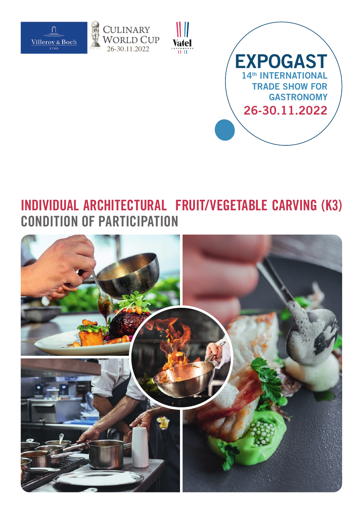







# **INDIVIDUAL ARCHITECTURAL FRUIT/VEGETABLE CARVING (K3) CONDITION OF PARTICIPATION**

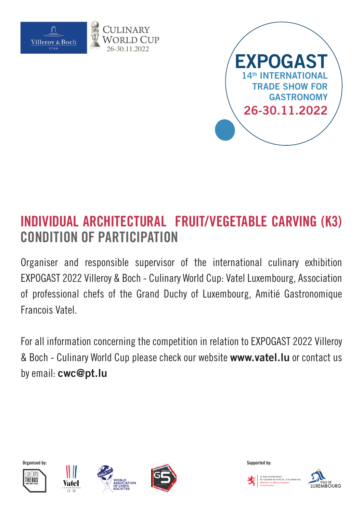

26-30.11.2022



# **INDIVIDUAL ARCHITECTURAL FRUIT/VEGETABLE CARVING (K3) CONDITION OF PARTICIPATION**

Organiser and responsible supervisor of the international culinary exhibition EXPOGAST 2022 Villeroy & Boch - Culinary World Cup: Vatel Luxembourg, Association of professional chefs of the Grand Duchy of Luxembourg, Amitié Gastronomique Francois Vatel.

For all information concerning the competition in relation to EXPOGAST 2022 Villeroy & Boch - Culinary World Cup please check our website **www.vatel.lu** or contact us by email: **cwc@pt.lu**













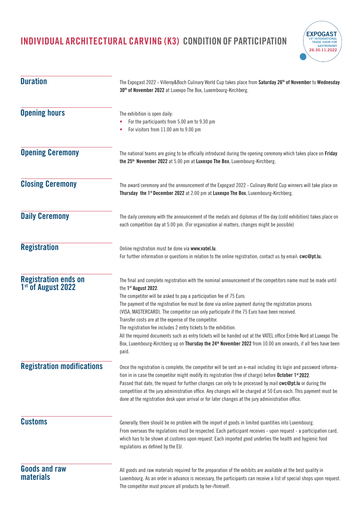

| <b>Duration</b>                                               | The Expogast 2022 - Villeroy&Boch Culinary World Cup takes place from Saturday 26 <sup>th</sup> of November to Wednesday<br>30 <sup>th</sup> of November 2022 at Luxexpo The Box, Luxembourg-Kirchberg.<br>The exhibition is open daily:<br>For the participants from 5.00 am to 9.30 pm<br>For visitors from 11.00 am to 9.00 pm                                                                                                                                                                                                                                                                                                                                                                                                                                                                       |  |
|---------------------------------------------------------------|---------------------------------------------------------------------------------------------------------------------------------------------------------------------------------------------------------------------------------------------------------------------------------------------------------------------------------------------------------------------------------------------------------------------------------------------------------------------------------------------------------------------------------------------------------------------------------------------------------------------------------------------------------------------------------------------------------------------------------------------------------------------------------------------------------|--|
| <b>Opening hours</b>                                          |                                                                                                                                                                                                                                                                                                                                                                                                                                                                                                                                                                                                                                                                                                                                                                                                         |  |
| <b>Opening Ceremony</b>                                       | The national teams are going to be officially introduced during the opening ceremony which takes place on Friday<br>the 25 <sup>th</sup> November 2022 at 5.00 pm at Luxexpo The Box, Luxembourg-Kirchberg.                                                                                                                                                                                                                                                                                                                                                                                                                                                                                                                                                                                             |  |
| <b>Closing Ceremony</b>                                       | The award ceremony and the announcement of the Expogast 2022 - Culinary World Cup winners will take place on<br>Thursday the 1st December 2022 at 2:00 pm at Luxexpo The Box, Luxembourg-Kirchberg.                                                                                                                                                                                                                                                                                                                                                                                                                                                                                                                                                                                                     |  |
| <b>Daily Ceremony</b>                                         | The daily ceremony with the announcement of the medals and diplomas of the day (cold exhibition) takes place on<br>each competition day at 5.00 pm. (For organization al matters, changes might be possible)                                                                                                                                                                                                                                                                                                                                                                                                                                                                                                                                                                                            |  |
| <b>Registration</b>                                           | Online registration must be done via www.vatel.lu.<br>For further information or questions in relation to the online registration, contact us by email: cwc@pt.lu.                                                                                                                                                                                                                                                                                                                                                                                                                                                                                                                                                                                                                                      |  |
| <b>Registration ends on</b><br>1 <sup>st</sup> of August 2022 | The final and complete registration with the nominal announcement of the competitors name must be made until<br>the 1st August 2022.<br>The competitor will be asked to pay a participation fee of 75 Euro.<br>The payment of the registration fee must be done via online payment during the registration process<br>(VISA, MASTERCARD). The competitor can only participate if the 75 Euro have been received.<br>Transfer costs are at the expense of the competitor.<br>The registration fee includes 2 entry tickets to the exhibition.<br>All the required documents such as entry tickets will be handed out at the VATEL office Entrée Nord at Luxexpo The<br>Box, Luxembourg-Kirchberg up on Thursday the 24 <sup>th</sup> November 2022 from 10.00 am onwards, if all fees have been<br>paid. |  |
| <b>Registration modifications</b>                             | Once the registration is complete, the competitor will be sent an e-mail including its login and password informa-<br>tion in in case the competitor might modify its registration (free of charge) before October 1 <sup>st</sup> 2022.<br>Passed that date, the request for further changes can only to be processed by mail cwc@pt.lu or during the<br>competition at the jury administration office. Any changes will be charged at 50 Euro each. This payment must be<br>done at the registration desk upon arrival or for later changes at the jury administration office.                                                                                                                                                                                                                        |  |
| <b>Customs</b>                                                | Generally, there should be no problem with the import of goods in limited quantities into Luxembourg.<br>From overseas the regulations must be respected. Each participant receives - upon request - a participation card,<br>which has to be shown at customs upon request. Each imported good underlies the health and hygienic food<br>regulations as defined by the EU.                                                                                                                                                                                                                                                                                                                                                                                                                             |  |
| <b>Goods and raw</b><br><b>materials</b>                      | All goods and raw materials required for the preparation of the exhibits are available at the best quality in<br>Luxembourg. As an order in advance is necessary, the participants can receive a list of special shops upon request.<br>The competitor must procure all products by her-/himself.                                                                                                                                                                                                                                                                                                                                                                                                                                                                                                       |  |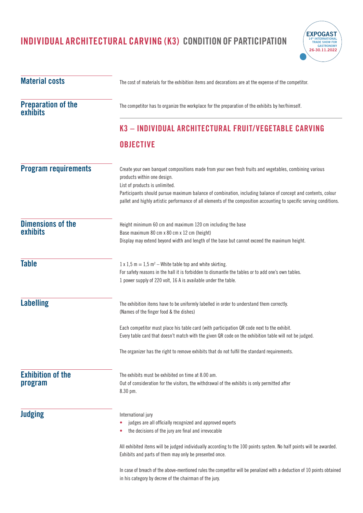

| <b>Material costs</b>                       | The cost of materials for the exhibition items and decorations are at the expense of the competitor.                                                                                                                                                                                                                                                                                                            |  |
|---------------------------------------------|-----------------------------------------------------------------------------------------------------------------------------------------------------------------------------------------------------------------------------------------------------------------------------------------------------------------------------------------------------------------------------------------------------------------|--|
| <b>Preparation of the</b><br>exhibits       | The competitor has to organize the workplace for the preparation of the exhibits by her/himself.                                                                                                                                                                                                                                                                                                                |  |
|                                             | K3 - INDIVIDUAL ARCHITECTURAL FRUIT/VEGETABLE CARVING                                                                                                                                                                                                                                                                                                                                                           |  |
|                                             | <b>OBJECTIVE</b>                                                                                                                                                                                                                                                                                                                                                                                                |  |
| <b>Program requirements</b>                 | Create your own banquet compositions made from your own fresh fruits and vegetables, combining various<br>products within one design.<br>List of products is unlimited.<br>Participants should pursue maximum balance of combination, including balance of concept and contents, colour<br>pallet and highly artistic performance of all elements of the composition accounting to specific serving conditions. |  |
| <b>Dimensions of the</b><br><b>exhibits</b> | Height minimum 60 cm and maximum 120 cm including the base<br>Base maximum 80 cm x 80 cm x 12 cm (height)<br>Display may extend beyond width and length of the base but cannot exceed the maximum height.                                                                                                                                                                                                       |  |
| <b>Table</b>                                | $1 \times 1.5$ m = 1.5 m <sup>2</sup> – White table top and white skirting.<br>For safety reasons in the hall it is forbidden to dismantle the tables or to add one's own tables.<br>1 power supply of 220 volt, 16 A is available under the table.                                                                                                                                                             |  |
| <b>Labelling</b>                            | The exhibition items have to be uniformly labelled in order to understand them correctly.<br>(Names of the finger food & the dishes)                                                                                                                                                                                                                                                                            |  |
|                                             | Each competitor must place his table card (with participation QR code next to the exhibit.<br>Every table card that doesn't match with the given QR code on the exhibition table will not be judged.                                                                                                                                                                                                            |  |
|                                             | The organizer has the right to remove exhibits that do not fulfil the standard requirements.                                                                                                                                                                                                                                                                                                                    |  |
| <b>Exhibition of the</b><br>program         | The exhibits must be exhibited on time at 8.00 am.<br>Out of consideration for the visitors, the withdrawal of the exhibits is only permitted after<br>8.30 pm.                                                                                                                                                                                                                                                 |  |
| <b>Judging</b>                              | International jury<br>judges are all officially recognized and approved experts<br>the decisions of the jury are final and irrevocable                                                                                                                                                                                                                                                                          |  |
|                                             | All exhibited items will be judged individually according to the 100 points system. No half points will be awarded.<br>Exhibits and parts of them may only be presented once.                                                                                                                                                                                                                                   |  |
|                                             | In case of breach of the above-mentioned rules the competitor will be penalized with a deduction of 10 points obtained<br>in his category by decree of the chairman of the jury.                                                                                                                                                                                                                                |  |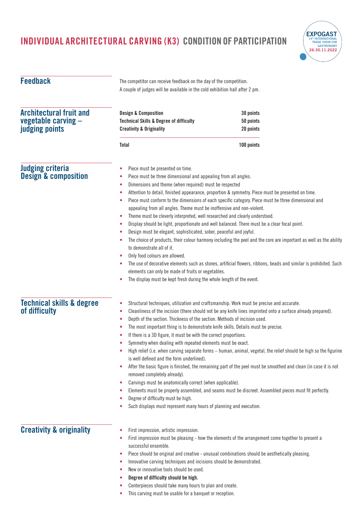

| <b>Feedback</b>                                                         | The competitor can receive feedback on the day of the competition.<br>A couple of judges will be available in the cold exhibition hall after 2 pm.                                                                                                                                                                                                                                                                                                                                                                                                                                                                                                                                                                                                                                                                                                                                                                                                                                                                                                                                                                                                                               |                                     |  |
|-------------------------------------------------------------------------|----------------------------------------------------------------------------------------------------------------------------------------------------------------------------------------------------------------------------------------------------------------------------------------------------------------------------------------------------------------------------------------------------------------------------------------------------------------------------------------------------------------------------------------------------------------------------------------------------------------------------------------------------------------------------------------------------------------------------------------------------------------------------------------------------------------------------------------------------------------------------------------------------------------------------------------------------------------------------------------------------------------------------------------------------------------------------------------------------------------------------------------------------------------------------------|-------------------------------------|--|
| <b>Architectural fruit and</b><br>vegetable carving -<br>judging points | <b>Design &amp; Composition</b><br><b>Technical Skills &amp; Degree of difficulty</b><br><b>Creativity &amp; Originality</b>                                                                                                                                                                                                                                                                                                                                                                                                                                                                                                                                                                                                                                                                                                                                                                                                                                                                                                                                                                                                                                                     | 30 points<br>50 points<br>20 points |  |
|                                                                         | Total                                                                                                                                                                                                                                                                                                                                                                                                                                                                                                                                                                                                                                                                                                                                                                                                                                                                                                                                                                                                                                                                                                                                                                            | 100 points                          |  |
| <b>Judging criteria</b><br><b>Design &amp; composition</b>              | Piece must be presented on time.<br>۰<br>Piece must be three dimensional and appealing from all angles.<br>Dimensions and theme (when required) must be respected<br>Attention to detail, finished appearance, proportion & symmetry. Piece must be presented on time.<br>c<br>Piece must conform to the dimensions of each specific category. Piece must be three dimensional and<br>٠<br>appealing from all angles. Theme must be inoffensive and non-violent.<br>Theme must be cleverly interpreted, well researched and clearly understood.<br>٠<br>Display should be light, proportionate and well balanced. There must be a clear focal point.<br>۰<br>Design must be elegant, sophisticated, sober, peaceful and joyful.<br>The choice of products, their colour harmony including the peel and the core are important as well as the ability<br>٠<br>to demonstrate all of it.<br>Only food colours are allowed.<br>The use of decorative elements such as stones, artificial flowers, ribbons, beads and similar is prohibited. Such<br>۰<br>elements can only be made of fruits or vegetables.<br>The display must be kept fresh during the whole length of the event. |                                     |  |
| <b>Technical skills &amp; degree</b><br>of difficulty                   | Structural techniques, utilization and craftsmanship. Work must be precise and accurate.<br>Cleanliness of the incision (there should not be any knife lines imprinted onto a surface already prepared).<br>۰<br>Depth of the section. Thickness of the section. Methods of incision used.<br>٠<br>The most important thing is to demonstrate knife skills. Details must be precise.<br>If there is a 3D figure, it must be with the correct proportions.<br>Symmetry when dealing with repeated elements must be exact.<br>High relief (i.e. when carving separate forms - human, animal, vegetal, the relief should be high so the figurine<br>is well defined and the form underlined).<br>After the basic figure is finished, the remaining part of the peel must be smoothed and clean (in case it is not<br>۰<br>removed completely already).<br>Carvings must be anatomically correct (when applicable).<br>٠<br>Elements must be properly assembled, and seams must be discreet. Assembled pieces must fit perfectly.<br>Degree of difficulty must be high.<br>Such displays must represent many hours of planning and execution.                                        |                                     |  |
| <b>Creativity &amp; originality</b>                                     | First impression, artistic impression.<br>c<br>First impression must be pleasing - how the elements of the arrangement come together to present a<br>successful ensemble.<br>Piece should be original and creative - unusual combinations should be aesthetically pleasing.<br>٠<br>Innovative carving techniques and incisions should be demonstrated.<br>٠<br>New or innovative tools should be used.<br>Degree of difficulty should be high.<br>Centerpieces should take many hours to plan and create.                                                                                                                                                                                                                                                                                                                                                                                                                                                                                                                                                                                                                                                                       |                                     |  |

**•** This carving must be usable for a banquet or reception.